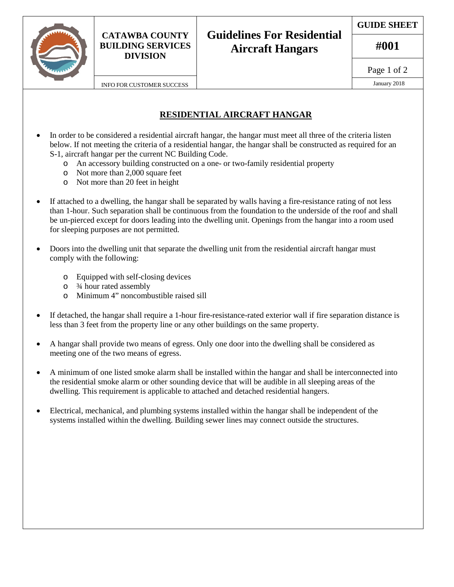

# **Guidelines For Residential Aircraft Hangars**

**GUIDE SHEET**

**#001**

Page 1 of 2

### **RESIDENTIAL AIRCRAFT HANGAR**

- In order to be considered a residential aircraft hangar, the hangar must meet all three of the criteria listen below. If not meeting the criteria of a residential hangar, the hangar shall be constructed as required for an S-1, aircraft hangar per the current NC Building Code.
	- o An accessory building constructed on a one- or two-family residential property
	- o Not more than 2,000 square feet
	- o Not more than 20 feet in height
- If attached to a dwelling, the hangar shall be separated by walls having a fire-resistance rating of not less than 1-hour. Such separation shall be continuous from the foundation to the underside of the roof and shall be un-pierced except for doors leading into the dwelling unit. Openings from the hangar into a room used for sleeping purposes are not permitted.
- Doors into the dwelling unit that separate the dwelling unit from the residential aircraft hangar must comply with the following:
	- $\circ$  Equipped with self-closing devices<br> $\circ$   $\frac{3}{4}$  hour rated assembly
	- $\frac{3}{4}$  hour rated assembly<br>  $\frac{3}{4}$  moncomb
	- Minimum 4" noncombustible raised sill
- If detached, the hangar shall require a 1-hour fire-resistance-rated exterior wall if fire separation distance is less than 3 feet from the property line or any other buildings on the same property.
- A hangar shall provide two means of egress. Only one door into the dwelling shall be considered as meeting one of the two means of egress.
- A minimum of one listed smoke alarm shall be installed within the hangar and shall be interconnected into the residential smoke alarm or other sounding device that will be audible in all sleeping areas of the dwelling. This requirement is applicable to attached and detached residential hangers.
- Electrical, mechanical, and plumbing systems installed within the hangar shall be independent of the systems installed within the dwelling. Building sewer lines may connect outside the structures.